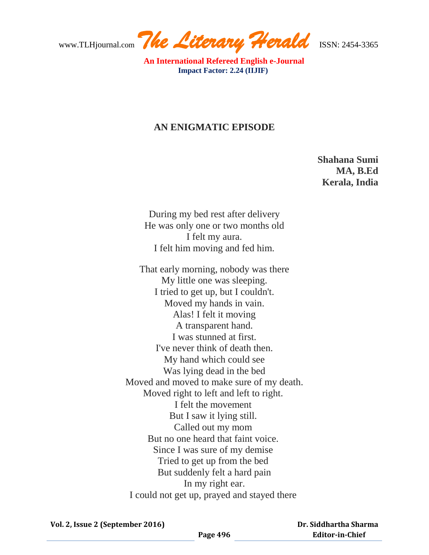www.TLHjournal.com *The Literary Herald*ISSN: 2454-3365

 **An International Refereed English e-Journal Impact Factor: 2.24 (IIJIF)** 

## **AN ENIGMATIC EPISODE**

**Shahana Sumi MA, B.Ed Kerala, India**

During my bed rest after delivery He was only one or two months old I felt my aura. I felt him moving and fed him.

That early morning, nobody was there My little one was sleeping. I tried to get up, but I couldn't. Moved my hands in vain. Alas! I felt it moving A transparent hand. I was stunned at first. I've never think of death then. My hand which could see Was lying dead in the bed Moved and moved to make sure of my death. Moved right to left and left to right. I felt the movement But I saw it lying still. Called out my mom But no one heard that faint voice. Since I was sure of my demise Tried to get up from the bed But suddenly felt a hard pain In my right ear. I could not get up, prayed and stayed there

 **Dr. Siddhartha Sharma Editor-in-Chief**